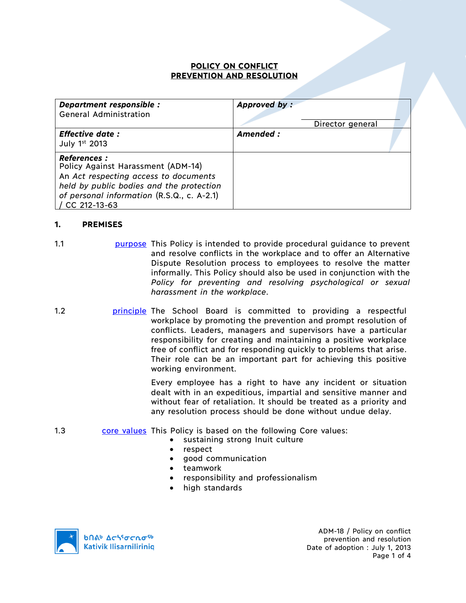#### **POLICY ON CONFLICT PREVENTION AND RESOLUTION**

| Department responsible :<br><b>General Administration</b>                                                                                                                                                    | Approved by:<br>Director general |  |
|--------------------------------------------------------------------------------------------------------------------------------------------------------------------------------------------------------------|----------------------------------|--|
| <b>Effective date:</b><br>July $1st$ 2013                                                                                                                                                                    | Amended:                         |  |
| <b>References :</b><br>Policy Against Harassment (ADM-14)<br>An Act respecting access to documents<br>held by public bodies and the protection<br>of personal information (R.S.Q., c. A-2.1)<br>CC 212-13-63 |                                  |  |

## **1. PREMISES**

- 1.1 purpose This Policy is intended to provide procedural guidance to prevent and resolve conflicts in the workplace and to offer an Alternative Dispute Resolution process to employees to resolve the matter informally. This Policy should also be used in conjunction with the *Policy for preventing and resolving psychological or sexual harassment in the workplace*.
- 1.2 **principle The School Board is committed to providing a respectful** workplace by promoting the prevention and prompt resolution of conflicts. Leaders, managers and supervisors have a particular responsibility for creating and maintaining a positive workplace free of conflict and for responding quickly to problems that arise. Their role can be an important part for achieving this positive working environment.

Every employee has a right to have any incident or situation dealt with in an expeditious, impartial and sensitive manner and without fear of retaliation. It should be treated as a priority and any resolution process should be done without undue delay.

- 1.3 core values This Policy is based on the following Core values:
	- sustaining strong Inuit culture
	- respect
	- good communication
	- teamwork
	- responsibility and professionalism
	- high standards



ADM-18 / Policy on conflict prevention and resolution Date of adoption : July 1, 2013 Page 1 of 4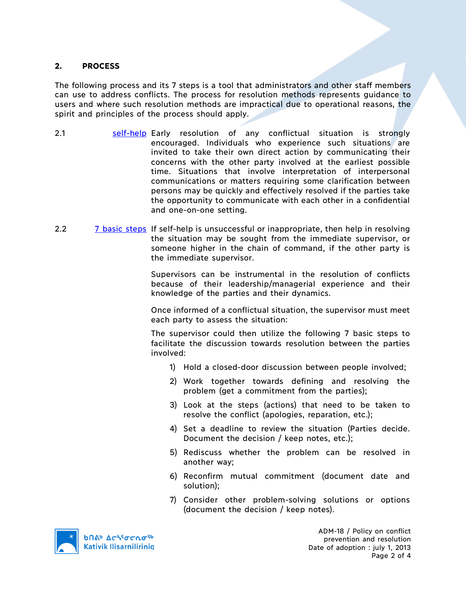#### **2. PROCESS**

The following process and its 7 steps is a tool that administrators and other staff members can use to address conflicts. The process for resolution methods represents guidance to users and where such resolution methods are impractical due to operational reasons, the spirit and principles of the process should apply.

- 2.1 **Self-help** Early resolution of any conflictual situation is strongly encouraged. Individuals who experience such situations are invited to take their own direct action by communicating their concerns with the other party involved at the earliest possible time. Situations that involve interpretation of interpersonal communications or matters requiring some clarification between persons may be quickly and effectively resolved if the parties take the opportunity to communicate with each other in a confidential and one-on-one setting.
- 2.2 7 basic steps If self-help is unsuccessful or inappropriate, then help in resolving the situation may be sought from the immediate supervisor, or someone higher in the chain of command, if the other party is the immediate supervisor.

Supervisors can be instrumental in the resolution of conflicts because of their leadership/managerial experience and their knowledge of the parties and their dynamics.

Once informed of a conflictual situation, the supervisor must meet each party to assess the situation:

The supervisor could then utilize the following 7 basic steps to facilitate the discussion towards resolution between the parties involved:

- 1) Hold a closed-door discussion between people involved;
- 2) Work together towards defining and resolving the problem (get a commitment from the parties);
- 3) Look at the steps (actions) that need to be taken to resolve the conflict (apologies, reparation, etc.);
- 4) Set a deadline to review the situation (Parties decide. Document the decision / keep notes, etc.);
- 5) Rediscuss whether the problem can be resolved in another way;
- 6) Reconfirm mutual commitment (document date and solution);
- 7) Consider other problem-solving solutions or options (document the decision / keep notes).

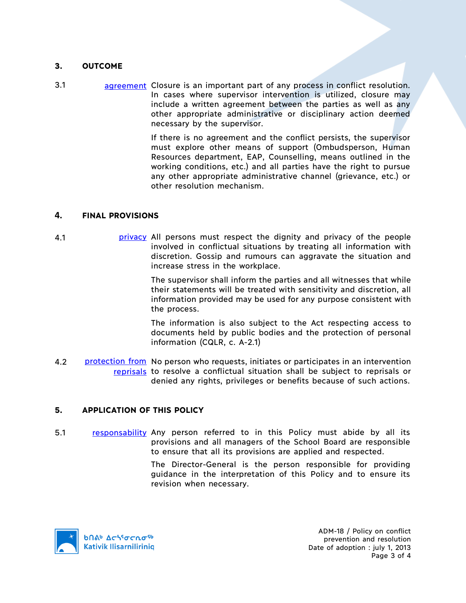#### **3. OUTCOME**

3.1 agreement Closure is an important part of any process in conflict resolution. In cases where supervisor intervention is utilized, closure may include a written agreement between the parties as well as any other appropriate administrative or disciplinary action deemed necessary by the supervisor.

> If there is no agreement and the conflict persists, the supervisor must explore other means of support (Ombudsperson, Human Resources department, EAP, Counselling, means outlined in the working conditions, etc.) and all parties have the right to pursue any other appropriate administrative channel (grievance, etc.) or other resolution mechanism.

#### **4. FINAL PROVISIONS**

4.1 privacy All persons must respect the dignity and privacy of the people involved in conflictual situations by treating all information with discretion. Gossip and rumours can aggravate the situation and increase stress in the workplace.

> The supervisor shall inform the parties and all witnesses that while their statements will be treated with sensitivity and discretion, all information provided may be used for any purpose consistent with the process.

> The information is also subject to the Act respecting access to documents held by public bodies and the protection of personal information (CQLR, c. A-2.1)

4.2 protection from No person who requests, initiates or participates in an intervention reprisals to resolve a conflictual situation shall be subject to reprisals or denied any rights, privileges or benefits because of such actions.

## **5. APPLICATION OF THIS POLICY**

5.1 responsability Any person referred to in this Policy must abide by all its provisions and all managers of the School Board are responsible to ensure that all its provisions are applied and respected.

> The Director-General is the person responsible for providing guidance in the interpretation of this Policy and to ensure its revision when necessary.